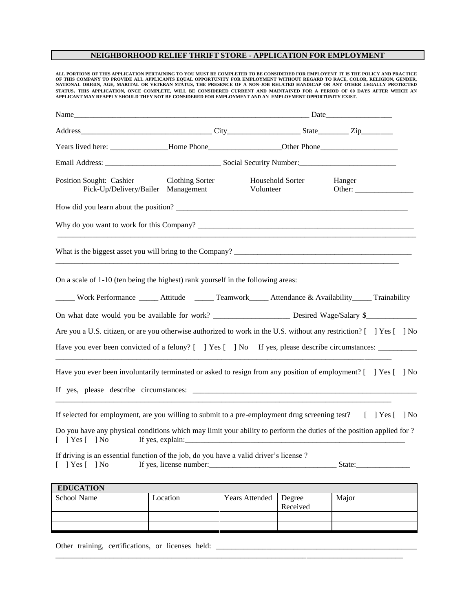## **NEIGHBORHOOD RELIEF THRIFT STORE - APPLICATION FOR EMPLOYMENT**

**ALL PORTIONS OF THIS APPLICATION PERTAINING TO YOU MUST BE COMPLETED TO BE CONSIDERED FOR EMPLOYENT IT IS THE POLICY AND PRACTICE**  OF THIS COMPANY TO PROVIDE ALL APPLICANTS EQUAL OPPORTUNITY FOR EMPLOYMENT WITHOUT REGARD TO RACE, COLOR, RELIGION, GENDER,<br>NATIONAL ORIGIN, AGE, MARITAL OR VETERAN STATUS, THE PRESENCE OF A NON-JOB RELATED HANDICAP OR ANY STATUS. THIS APPLICATION, ONCE COMPLETE, WILL BE CONSIDERED CURRENT AND MAINTAINED FOR A PERIOD OF 60 DAYS AFTER WHICH AN<br>APPLICANT MAY REAPPLY SHOULD THEY NOT BE CONSIDERED FOR EMPLOYMENT AND AN EMPLOYMENT OPPORTUNITY EXI

| Name_                                                                                                                                                                                       |                        |                               |                                  |  |  |  |
|---------------------------------------------------------------------------------------------------------------------------------------------------------------------------------------------|------------------------|-------------------------------|----------------------------------|--|--|--|
|                                                                                                                                                                                             |                        |                               |                                  |  |  |  |
|                                                                                                                                                                                             |                        |                               |                                  |  |  |  |
|                                                                                                                                                                                             |                        |                               |                                  |  |  |  |
| Position Sought: Cashier<br>Pick-Up/Delivery/Bailer Management                                                                                                                              | <b>Clothing Sorter</b> | Household Sorter<br>Volunteer | Hanger<br>Other: $\qquad \qquad$ |  |  |  |
|                                                                                                                                                                                             |                        |                               |                                  |  |  |  |
| Why do you want to work for this Company?                                                                                                                                                   |                        |                               |                                  |  |  |  |
|                                                                                                                                                                                             |                        |                               |                                  |  |  |  |
| On a scale of 1-10 (ten being the highest) rank yourself in the following areas:<br>_____ Work Performance ______ Attitude ______ Teamwork_____ Attendance & Availability_____ Trainability |                        |                               |                                  |  |  |  |
| On what date would you be available for work? _______________________ Desired Wage/Salary \$_______________                                                                                 |                        |                               |                                  |  |  |  |
| Are you a U.S. citizen, or are you otherwise authorized to work in the U.S. without any restriction? [ ] Yes [ ] No                                                                         |                        |                               |                                  |  |  |  |
| Have you ever been convicted of a felony? [ ] Yes [ ] No If yes, please describe circumstances: __________                                                                                  |                        |                               |                                  |  |  |  |
| Have you ever been involuntarily terminated or asked to resign from any position of employment? [ ] Yes [ ] No                                                                              |                        |                               |                                  |  |  |  |
| If selected for employment, are you willing to submit to a pre-employment drug screening test? [ ] Yes [ ] No                                                                               |                        |                               |                                  |  |  |  |
| Do you have any physical conditions which may limit your ability to perform the duties of the position applied for ?<br>$[$ ] Yes $[$ ] No                                                  |                        |                               |                                  |  |  |  |
| If driving is an essential function of the job, do you have a valid driver's license?<br>$\lceil$   Yes $\lceil$   No                                                                       |                        |                               |                                  |  |  |  |
| <b>EDUCATION</b>                                                                                                                                                                            |                        |                               |                                  |  |  |  |
| School Name                                                                                                                                                                                 | Location               | Vears Attended Degree         | Maior                            |  |  |  |

School Name Location | Years Attended | Degree Received Major

\_\_\_\_\_\_\_\_\_\_\_\_\_\_\_\_\_\_\_\_\_\_\_\_\_\_\_\_\_\_\_\_\_\_\_\_\_\_\_\_\_\_\_\_\_\_\_\_\_\_\_\_\_\_\_\_\_\_\_\_\_\_\_\_\_\_\_\_\_\_\_\_\_\_\_\_\_\_\_\_\_\_\_\_\_\_\_\_\_\_

Other training, certifications, or licenses held: